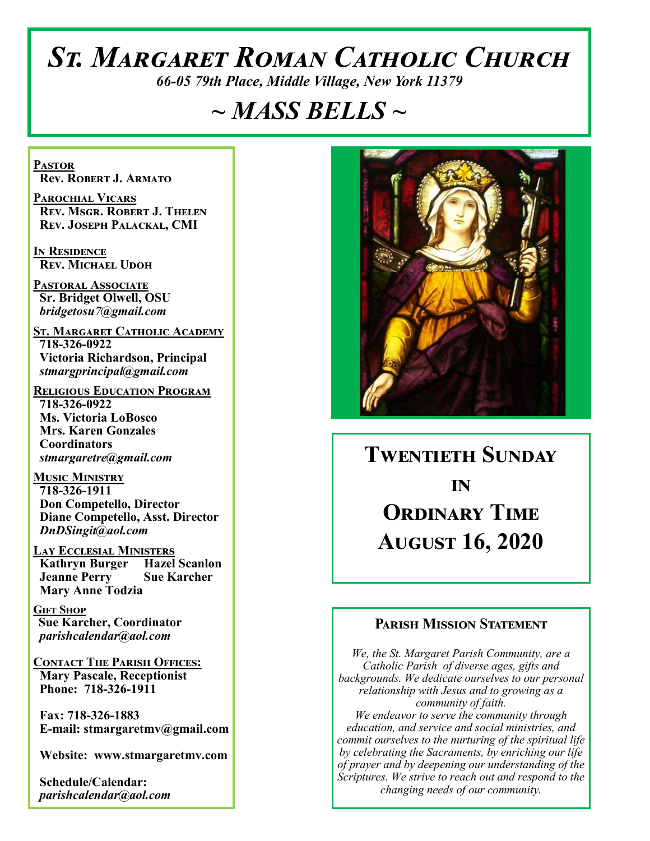# *St. Margaret Roman Catholic Church*

*66-05 79th Place, Middle Village, New York 11379*

## *~ MASS BELLS ~*

**Pastor Rev. Robert J. Armato**

**Parochial Vicars Rev. Msgr. Robert J. Thelen Rev. Joseph Palackal, CMI**

**In Residence Rev. Michael Udoh**

**Pastoral Associate Sr. Bridget Olwell, OSU**  *bridgetosu7@gmail.com*

**St. Margaret Catholic Academy 718-326-0922 Victoria Richardson, Principal**  *stmargprincipal@gmail.com*

**Religious Education Program 718-326-0922 Ms. Victoria LoBosco Mrs. Karen Gonzales Coordinators** *stmargaretre@gmail.com*

**Music Ministry 718-326-1911 Don Competello, Director Diane Competello, Asst. Director** *DnDSingit@aol.com*

**Lay Ecclesial Ministers Kathryn Burger Hazel Scanlon Jeanne Perry Sue Karcher Mary Anne Todzia**

**Gift Shop Sue Karcher, Coordinator** *parishcalendar@aol.com*

**Contact The Parish Offices: Mary Pascale, Receptionist Phone: 718-326-1911** 

 **Fax: 718-326-1883 E-mail: stmargaretmv@gmail.com**

 **Website: www.stmargaretmv.com**

 **Schedule/Calendar:** *parishcalendar@aol.com* 



## **Twentieth Sunday in Ordinary Time August 16, 2020**

#### **Parish Mission Statement**

*We, the St. Margaret Parish Community, are a Catholic Parish of diverse ages, gifts and backgrounds. We dedicate ourselves to our personal relationship with Jesus and to growing as a community of faith. We endeavor to serve the community through education, and service and social ministries, and commit ourselves to the nurturing of the spiritual life by celebrating the Sacraments, by enriching our life of prayer and by deepening our understanding of the Scriptures. We strive to reach out and respond to the changing needs of our community.*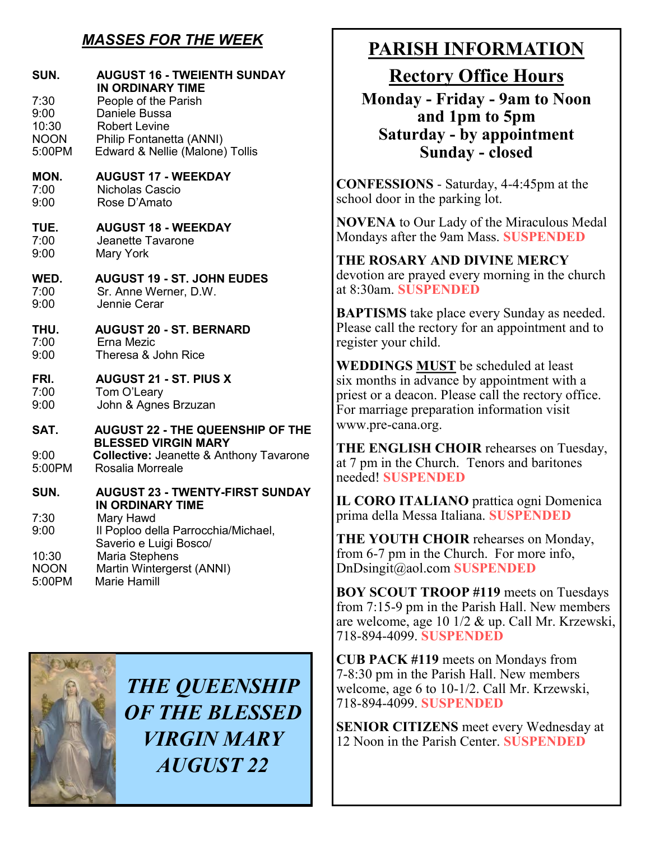## *MASSES FOR THE WEEK*

| SUN.<br>7:30<br>9:00<br>10:30<br><b>NOON</b><br>5:00PM | <b>AUGUST 16 - TWEIENTH SUNDAY</b><br><b>IN ORDINARY TIME</b><br>People of the Parish<br>Daniele Bussa<br><b>Robert Levine</b><br>Philip Fontanetta (ANNI)<br>Edward & Nellie (Malone) Tollis |
|--------------------------------------------------------|-----------------------------------------------------------------------------------------------------------------------------------------------------------------------------------------------|
| MON.                                                   | <b>AUGUST 17 - WEEKDAY</b>                                                                                                                                                                    |
| 7:00                                                   | Nicholas Cascio                                                                                                                                                                               |
| 9:00                                                   | Rose D'Amato                                                                                                                                                                                  |
| TUE.                                                   | <b>AUGUST 18 - WEEKDAY</b>                                                                                                                                                                    |
| 7:00                                                   | Jeanette Tavarone                                                                                                                                                                             |
| 9:00                                                   | Mary York                                                                                                                                                                                     |
| WED.                                                   | <b>AUGUST 19 - ST. JOHN EUDES</b>                                                                                                                                                             |
| 7:00                                                   | Sr. Anne Werner, D.W.                                                                                                                                                                         |
| 9:00                                                   | Jennie Cerar                                                                                                                                                                                  |
| THU.                                                   | <b>AUGUST 20 - ST. BERNARD</b>                                                                                                                                                                |
| 7:00                                                   | Erna Mezic                                                                                                                                                                                    |
| 9:00                                                   | Theresa & John Rice                                                                                                                                                                           |
| FRI.                                                   | <b>AUGUST 21 - ST. PIUS X</b>                                                                                                                                                                 |
| 7:00                                                   | Tom O'Leary                                                                                                                                                                                   |
| 9:00                                                   | John & Agnes Brzuzan                                                                                                                                                                          |
| SAT.                                                   | <b>AUGUST 22 - THE QUEENSHIP OF THE</b><br><b>BLESSED VIRGIN MARY</b>                                                                                                                         |
| 9:00                                                   | <b>Collective: Jeanette &amp; Anthony Tavarone</b>                                                                                                                                            |
| 5:00PM                                                 | Rosalia Morreale                                                                                                                                                                              |
| SUN.                                                   | <b>AUGUST 23 - TWENTY-FIRST SUNDAY</b><br>IN ORDINARY TIME                                                                                                                                    |
| 7:30<br>9:00                                           | Mary Hawd<br>Il Poploo della Parrocchia/Michael,<br>Saverio e Luigi Bosco/                                                                                                                    |
| 10:30                                                  | Maria Stephens                                                                                                                                                                                |
| <b>NOON</b>                                            | Martin Wintergerst (ANNI)                                                                                                                                                                     |
| 5:00PM                                                 | Marie Hamill                                                                                                                                                                                  |



*THE QUEENSHIP OF THE BLESSED VIRGIN MARY AUGUST 22*

## **PARISH INFORMATION**

**Rectory Office Hours** 

**Monday - Friday - 9am to Noon and 1pm to 5pm Saturday - by appointment Sunday - closed**

**CONFESSIONS** - Saturday, 4-4:45pm at the school door in the parking lot.

**NOVENA** to Our Lady of the Miraculous Medal Mondays after the 9am Mass. **SUSPENDED**

**THE ROSARY AND DIVINE MERCY** devotion are prayed every morning in the church at 8:30am. **SUSPENDED**

**BAPTISMS** take place every Sunday as needed. Please call the rectory for an appointment and to register your child.

**WEDDINGS MUST** be scheduled at least six months in advance by appointment with a priest or a deacon. Please call the rectory office. For marriage preparation information visit www.pre-cana.org.

**THE ENGLISH CHOIR** rehearses on Tuesday, at 7 pm in the Church. Tenors and baritones needed! **SUSPENDED**

**IL CORO ITALIANO** prattica ogni Domenica prima della Messa Italiana. **SUSPENDED**

**THE YOUTH CHOIR** rehearses on Monday, from 6-7 pm in the Church. For more info, DnDsingit@aol.com **SUSPENDED**

**BOY SCOUT TROOP #119** meets on Tuesdays from 7:15-9 pm in the Parish Hall. New members are welcome, age 10 1/2 & up. Call Mr. Krzewski, 718-894-4099. **SUSPENDED**

**CUB PACK #119** meets on Mondays from 7-8:30 pm in the Parish Hall. New members welcome, age 6 to 10-1/2. Call Mr. Krzewski, 718-894-4099. **SUSPENDED**

**SENIOR CITIZENS** meet every Wednesday at 12 Noon in the Parish Center. **SUSPENDED**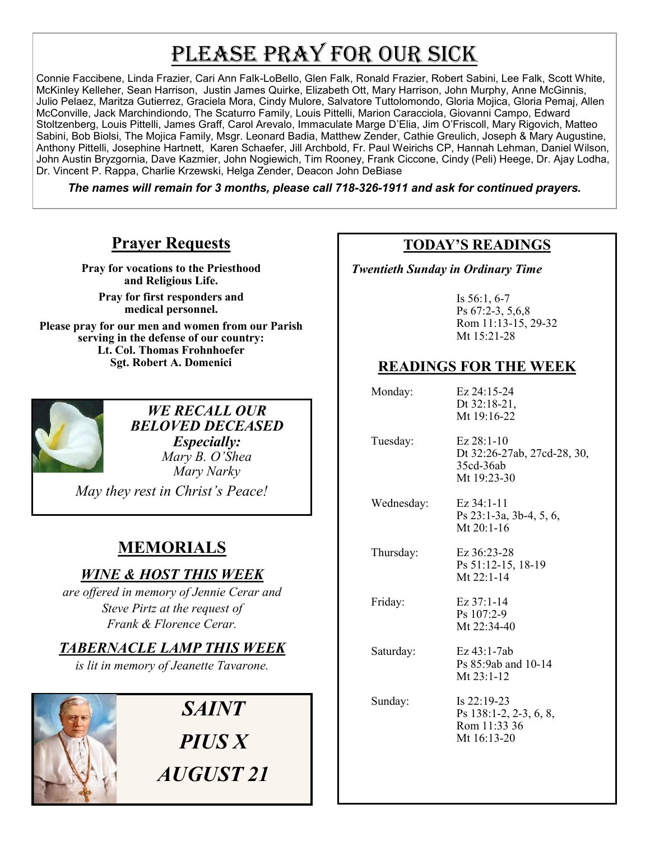# PLEASE PRAY FOR OUR SICK

Connie Faccibene, Linda Frazier, Cari Ann Falk-LoBello, Glen Falk, Ronald Frazier, Robert Sabini, Lee Falk, Scott White, McKinley Kelleher, Sean Harrison, Justin James Quirke, Elizabeth Ott, Mary Harrison, John Murphy, Anne McGinnis, Julio Pelaez, Maritza Gutierrez, Graciela Mora, Cindy Mulore, Salvatore Tuttolomondo, Gloria Mojica, Gloria Pemaj, Allen McConville, Jack Marchindiondo, The Scaturro Family, Louis Pittelli, Marion Caracciola, Giovanni Campo, Edward Stoltzenberg, Louis Pittelli, James Graff, Carol Arevalo, Immaculate Marge D'Elia, Jim O'Friscoll, Mary Rigovich, Matteo Sabini, Bob Biolsi, The Mojica Family, Msgr. Leonard Badia, Matthew Zender, Cathie Greulich, Joseph & Mary Augustine, Anthony Pittelli, Josephine Hartnett, Karen Schaefer, Jill Archbold, Fr. Paul Weirichs CP, Hannah Lehman, Daniel Wilson, John Austin Bryzgornia, Dave Kazmier, John Nogiewich, Tim Rooney, Frank Ciccone, Cindy (Peli) Heege, Dr. Ajay Lodha, Dr. Vincent P. Rappa, Charlie Krzewski, Helga Zender, Deacon John DeBiase

*The names will remain for 3 months, please call 718-326-1911 and ask for continued prayers.*

## **Prayer Requests**

**Pray for vocations to the Priesthood and Religious Life.** 

**Pray for first responders and medical personnel.**

**Please pray for our men and women from our Parish serving in the defense of our country: Lt. Col. Thomas Frohnhoefer Sgt. Robert A. Domenici** 



*WE RECALL OUR BELOVED DECEASED Especially: Mary B. O'Shea Mary Narky*

*May they rest in Christ's Peace!*

## **MEMORIALS**

## *WINE & HOST THIS WEEK*

*are offered in memory of Jennie Cerar and Steve Pirtz at the request of Frank & Florence Cerar.*

## *TABERNACLE LAMP THIS WEEK*

*is lit in memory of Jeanette Tavarone.* 



#### **TODAY'S READINGS**

 *Twentieth Sunday in Ordinary Time*

Is 56:1, 6-7 Ps 67:2-3, 5,6,8 Rom 11:13-15, 29-32 Mt 15:21-28

## **READINGS FOR THE WEEK**

 Monday: Ez 24:15-24 Dt 32:18-21, Mt 19:16-22

 Tuesday: Ez 28:1-10 Dt 32:26-27ab, 27cd-28, 30, 35cd-36ab Mt 19:23-30

 Wednesday: Ez 34:1-11 Ps 23:1-3a, 3b-4, 5, 6, Mt 20:1-16

 Thursday: Ez 36:23-28 Ps 51:12-15, 18-19 Mt 22:1-14

Friday: Ez 37:1-14

Ps 107:2-9 Mt 22:34-40

 Saturday: Ez 43:1-7ab Ps 85:9ab and 10-14 Mt 23:1-12

 Sunday: Is 22:19-23 Ps 138:1-2, 2-3, 6, 8, Rom 11:33 36 Mt 16:13-20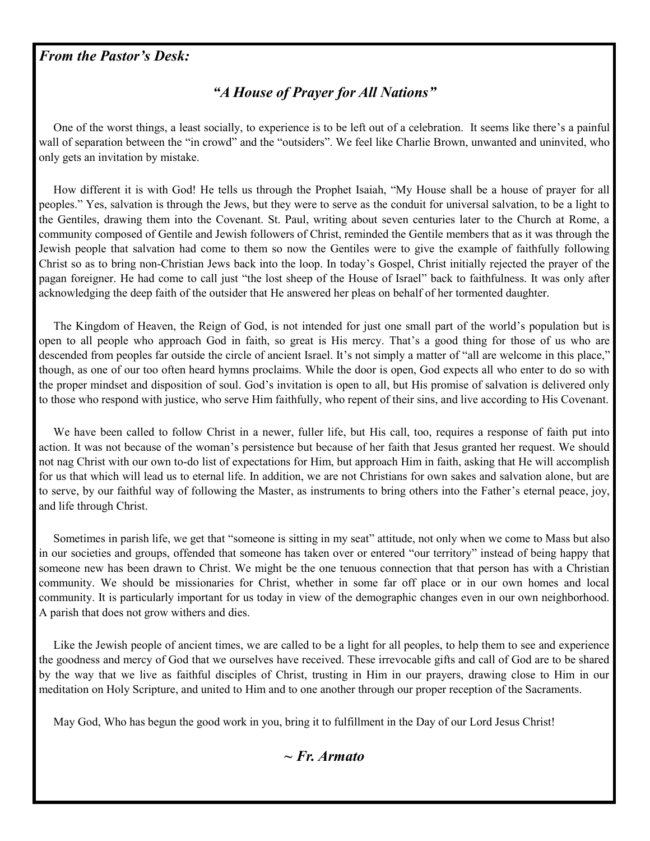#### *From the Pastor's Desk:*

### *"A House of Prayer for All Nations"*

 One of the worst things, a least socially, to experience is to be left out of a celebration. It seems like there's a painful wall of separation between the "in crowd" and the "outsiders". We feel like Charlie Brown, unwanted and uninvited, who only gets an invitation by mistake.

 How different it is with God! He tells us through the Prophet Isaiah, "My House shall be a house of prayer for all peoples." Yes, salvation is through the Jews, but they were to serve as the conduit for universal salvation, to be a light to the Gentiles, drawing them into the Covenant. St. Paul, writing about seven centuries later to the Church at Rome, a community composed of Gentile and Jewish followers of Christ, reminded the Gentile members that as it was through the Jewish people that salvation had come to them so now the Gentiles were to give the example of faithfully following Christ so as to bring non-Christian Jews back into the loop. In today's Gospel, Christ initially rejected the prayer of the pagan foreigner. He had come to call just "the lost sheep of the House of Israel" back to faithfulness. It was only after acknowledging the deep faith of the outsider that He answered her pleas on behalf of her tormented daughter.

 The Kingdom of Heaven, the Reign of God, is not intended for just one small part of the world's population but is open to all people who approach God in faith, so great is His mercy. That's a good thing for those of us who are descended from peoples far outside the circle of ancient Israel. It's not simply a matter of "all are welcome in this place," though, as one of our too often heard hymns proclaims. While the door is open, God expects all who enter to do so with the proper mindset and disposition of soul. God's invitation is open to all, but His promise of salvation is delivered only to those who respond with justice, who serve Him faithfully, who repent of their sins, and live according to His Covenant.

 We have been called to follow Christ in a newer, fuller life, but His call, too, requires a response of faith put into action. It was not because of the woman's persistence but because of her faith that Jesus granted her request. We should not nag Christ with our own to-do list of expectations for Him, but approach Him in faith, asking that He will accomplish for us that which will lead us to eternal life. In addition, we are not Christians for own sakes and salvation alone, but are to serve, by our faithful way of following the Master, as instruments to bring others into the Father's eternal peace, joy, and life through Christ.

 Sometimes in parish life, we get that "someone is sitting in my seat" attitude, not only when we come to Mass but also in our societies and groups, offended that someone has taken over or entered "our territory" instead of being happy that someone new has been drawn to Christ. We might be the one tenuous connection that that person has with a Christian community. We should be missionaries for Christ, whether in some far off place or in our own homes and local community. It is particularly important for us today in view of the demographic changes even in our own neighborhood. A parish that does not grow withers and dies.

Like the Jewish people of ancient times, we are called to be a light for all peoples, to help them to see and experience the goodness and mercy of God that we ourselves have received. These irrevocable gifts and call of God are to be shared by the way that we live as faithful disciples of Christ, trusting in Him in our prayers, drawing close to Him in our meditation on Holy Scripture, and united to Him and to one another through our proper reception of the Sacraments.

May God, Who has begun the good work in you, bring it to fulfillment in the Day of our Lord Jesus Christ!

#### *~ Fr. Armato*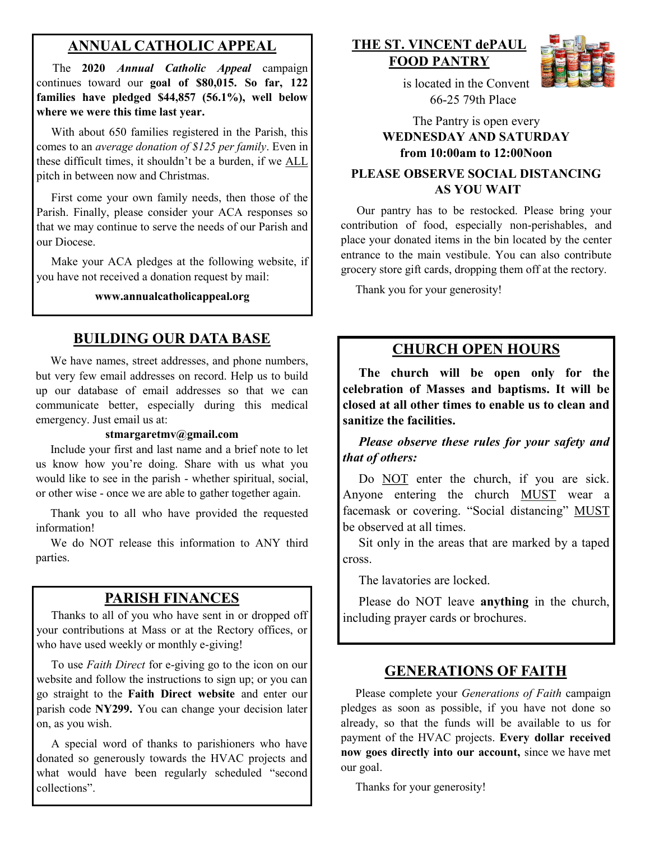## **ANNUAL CATHOLIC APPEAL**

 The **2020** *Annual Catholic Appeal* campaign continues toward our **goal of \$80,015. So far, 122 families have pledged \$44,857 (56.1%), well below where we were this time last year.**

With about 650 families registered in the Parish, this comes to an *average donation of \$125 per family*. Even in these difficult times, it shouldn't be a burden, if we ALL pitch in between now and Christmas.

 First come your own family needs, then those of the Parish. Finally, please consider your ACA responses so that we may continue to serve the needs of our Parish and our Diocese.

 Make your ACA pledges at the following website, if you have not received a donation request by mail:

**www.annualcatholicappeal.org**

## **BUILDING OUR DATA BASE**

 We have names, street addresses, and phone numbers, but very few email addresses on record. Help us to build up our database of email addresses so that we can communicate better, especially during this medical emergency. Just email us at:

#### **stmargaretmv@gmail.com**

 Include your first and last name and a brief note to let us know how you're doing. Share with us what you would like to see in the parish - whether spiritual, social, or other wise - once we are able to gather together again.

 Thank you to all who have provided the requested information!

 We do NOT release this information to ANY third parties.

### **PARISH FINANCES**

 Thanks to all of you who have sent in or dropped off your contributions at Mass or at the Rectory offices, or who have used weekly or monthly e-giving!

 To use *Faith Direct* for e-giving go to the icon on our website and follow the instructions to sign up; or you can go straight to the **Faith Direct website** and enter our parish code **NY299.** You can change your decision later on, as you wish.

 A special word of thanks to parishioners who have donated so generously towards the HVAC projects and what would have been regularly scheduled "second collections".

## **THE ST. VINCENT dePAUL FOOD PANTRY**



 is located in the Convent 66-25 79th Place

The Pantry is open every **WEDNESDAY AND SATURDAY from 10:00am to 12:00Noon**

#### **PLEASE OBSERVE SOCIAL DISTANCING AS YOU WAIT**

 Our pantry has to be restocked. Please bring your contribution of food, especially non-perishables, and place your donated items in the bin located by the center entrance to the main vestibule. You can also contribute grocery store gift cards, dropping them off at the rectory.

Thank you for your generosity!

#### **CHURCH OPEN HOURS**

 **The church will be open only for the celebration of Masses and baptisms. It will be closed at all other times to enable us to clean and sanitize the facilities.** 

 *Please observe these rules for your safety and that of others:* 

Do NOT enter the church, if you are sick. Anyone entering the church MUST wear a facemask or covering. "Social distancing" MUST be observed at all times.

 Sit only in the areas that are marked by a taped cross.

The lavatories are locked.

 Please do NOT leave **anything** in the church, including prayer cards or brochures.

#### **GENERATIONS OF FAITH**

 Please complete your *Generations of Faith* campaign pledges as soon as possible, if you have not done so already, so that the funds will be available to us for payment of the HVAC projects. **Every dollar received now goes directly into our account,** since we have met our goal.

Thanks for your generosity!